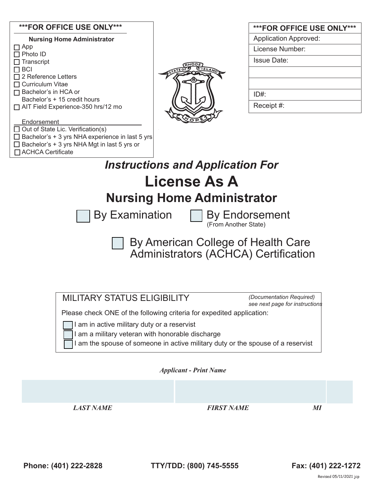#### **\*\*\*FOR OFFICE USE ONLY\*\*\***

| <b>Nursing Home Administrator</b>               |  |
|-------------------------------------------------|--|
| ] App                                           |  |
| 1 Photo ID                                      |  |
| ] Transcript                                    |  |
| BCI                                             |  |
| $\Box$ 2 Reference Letters                      |  |
| $\Box$ Curriculum Vitae                         |  |
| Bachelor's in HCA or                            |  |
| Bachelor's + 15 credit hours                    |  |
| □ AIT Field Experience-350 hrs/12 mo            |  |
| Endorsement                                     |  |
| Out of State Lic. Verification(s)               |  |
| Bachelor's + 3 yrs NHA experience in last 5 yrs |  |

 $\Box$  Bachelor's + 3 yrs NHA Mgt in last 5 yrs or

□ ACHCA Certificate



| <b>***FOR OFFICE USE ONLY***</b> |
|----------------------------------|
| <b>Application Approved:</b>     |
| License Number:                  |
| Issue Date:                      |
|                                  |
|                                  |
| ID#                              |
| Receipt #:                       |

# *Instructions and Application For* **License As A Nursing Home Administrator**

By Examination  $\Box$  By Endorsement

(From Another State)

 $\cdot$ By American College of Health Care Administrators (ACHCA) Certification

MILITARY STATUS ELIGIBILITY

*(Documentation Required) see next page for instructions*

Please check ONE of the following criteria for expedited application:

I am in active military duty or a reservist

I am a military veteran with honorable discharge

I am the spouse of someone in active military duty or the spouse of a reservist

## *Applicant - Print Name*

*LAST NAME FIRST NAME MI*

**Phone: (401) 222-2828 TTY/TDD: (800) 745-5555 Fax: (401) 222-1272**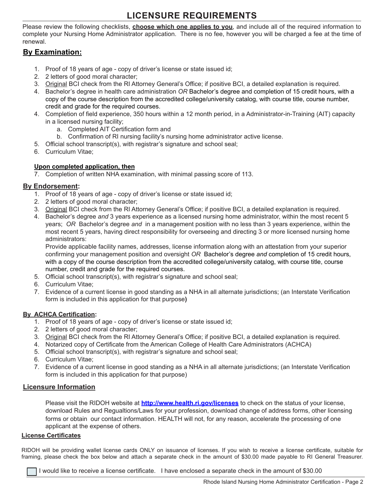# **LICENSURE REQUIREMENTS**

Please review the following checklists, **choose which one applies to you**, and include all of the required information to complete your Nursing Home Administrator application. There is no fee, however you will be charged a fee at the time of renewal.

## **By Examination:**

- 1. Proof of 18 years of age copy of driver's license or state issued id;
- 2. 2 letters of good moral character;
- 3. Original BCI check from the RI Attorney General's Office; if positive BCI, a detailed explanation is required.
- 4. Bachelor's degree in health care administration *OR* Bachelor's degree and completion of 15 credit hours, with a copy of the course description from the accredited college/university catalog, with course title, course number, credit and grade for the required courses.
- 4. Completion of field experience, 350 hours within a 12 month period, in a Administrator-in-Training (AIT) capacity in a licensed nursing facility;
	- a. Completed AIT Certification form and
	- b. Confirmation of RI nursing facility's nursing home administrator active license.
- 5. Official school transcript(s), with registrar's signature and school seal;
- 6. Curriculum Vitae;

#### **Upon completed application, then**

7. Completion of written NHA examination, with minimal passing score of 113.

#### **By Endorsement:**

- 1. Proof of 18 years of age copy of driver's license or state issued id;
- 2. 2 letters of good moral character;
- 3. Original BCI check from the RI Attorney General's Office; if positive BCI, a detailed explanation is required.
- 4. Bachelor's degree *and* 3 years experience as a licensed nursing home administrator, within the most recent 5 years; *OR* Bachelor's degree *and* in a management position with no less than 3 years experience, within the most recent 5 years, having direct responsibility for overseeing and directing 3 or more licensed nursing home administrators:

Provide applicable facility names, addresses, license information along with an attestation from your superior confirming your management position and oversight *OR* Bachelor's degree *and* completion of 15 credit hours, with a copy of the course description from the accredited college/university catalog, with course title, course number, credit and grade for the required courses.

- 5. Official school transcript(s), with registrar's signature and school seal;
- 6. Curriculum Vitae;
- 7. Evidence of a current license in good standing as a NHA in all alternate jurisdictions; (an Interstate Verification form is included in this application for that purpose**)**

#### **By ACHCA Certification:**

- 1. Proof of 18 years of age copy of driver's license or state issued id;
- 2. 2 letters of good moral character;
- 3. Original BCI check from the RI Attorney General's Office; if positive BCI, a detailed explanation is required.
- 4. Notarized copy of Certificate from the American College of Health Care Administrators (ACHCA)
- 5. Official school transcript(s), with registrar's signature and school seal;
- 6. Curriculum Vitae;
- 7. Evidence of a current license in good standing as a NHA in all alternate jurisdictions; (an Interstate Verification form is included in this application for that purpose)

## **Licensure Information**

Please visit the RIDOH website at **http://www.health.ri.gov/licenses** to check on the status of your license, download Rules and Regualtions/Laws for your profession, download change of address forms, other licensing forms or obtain our contact information. HEALTH will not, for any reason, accelerate the processing of one applicant at the expense of others.

#### **License Certificates**

RIDOH will be providing wallet license cards ONLY on issuance of licenses. If you wish to receive a license certificate, suitable for framing, please check the box below and attach a separate check in the amount of \$30.00 made payable to RI General Treasurer.

I would like to receive a license certificate. I have enclosed a separate check in the amount of \$30.00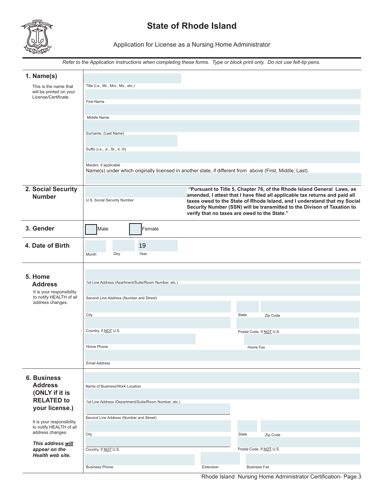

# **State of Rhode Island**

Application for License as a Nursing Home Administrator

*Refer to the Application Instructions when completing these forms. Type or block print only. Do not use felt-tip pens.*

| 1. Name(s)                                           |                                                                                                                                   |                                                       |                                              |                          |                                                                                                                                                                                                                                                                                                              |
|------------------------------------------------------|-----------------------------------------------------------------------------------------------------------------------------------|-------------------------------------------------------|----------------------------------------------|--------------------------|--------------------------------------------------------------------------------------------------------------------------------------------------------------------------------------------------------------------------------------------------------------------------------------------------------------|
| This is the name that<br>will be printed on your     | Title (i.e., Mr., Mrs., Ms., etc.)                                                                                                |                                                       |                                              |                          |                                                                                                                                                                                                                                                                                                              |
| License/Certificate.                                 | <b>First Name</b>                                                                                                                 |                                                       |                                              |                          |                                                                                                                                                                                                                                                                                                              |
|                                                      | Middle Name                                                                                                                       |                                                       |                                              |                          |                                                                                                                                                                                                                                                                                                              |
|                                                      |                                                                                                                                   |                                                       |                                              |                          |                                                                                                                                                                                                                                                                                                              |
|                                                      | Surname, (Last Name)                                                                                                              |                                                       |                                              |                          |                                                                                                                                                                                                                                                                                                              |
|                                                      | Suffix (i.e., Jr., Sr., II, III)                                                                                                  |                                                       |                                              |                          |                                                                                                                                                                                                                                                                                                              |
|                                                      |                                                                                                                                   |                                                       |                                              |                          |                                                                                                                                                                                                                                                                                                              |
|                                                      | Maiden, if applicable<br>Name(s) under which originally licensed in another state, if different from above (First, Middle, Last). |                                                       |                                              |                          |                                                                                                                                                                                                                                                                                                              |
|                                                      |                                                                                                                                   |                                                       |                                              |                          |                                                                                                                                                                                                                                                                                                              |
| 2. Social Security<br><b>Number</b>                  | U.S. Social Security Number                                                                                                       |                                                       | verify that no taxes are owed to the State." |                          | "Pursuant to Title 5, Chapter 76, of the Rhode Island General Laws, as<br>amended, I attest that I have filed all applicable tax returns and paid all<br>taxes owed to the State of Rhode Island, and I understand that my Social<br>Security Number (SSN) will be transmitted to the Divison of Taxation to |
| 3. Gender                                            | Male                                                                                                                              | Female                                                |                                              |                          |                                                                                                                                                                                                                                                                                                              |
| 4. Date of Birth                                     | Day<br>Month                                                                                                                      | 19<br>Year                                            |                                              |                          |                                                                                                                                                                                                                                                                                                              |
|                                                      |                                                                                                                                   |                                                       |                                              |                          |                                                                                                                                                                                                                                                                                                              |
| 5. Home<br><b>Address</b>                            |                                                                                                                                   | 1st Line Address (Apartment/Suite/Room Number, etc.)  |                                              |                          |                                                                                                                                                                                                                                                                                                              |
| It is your responsibility<br>to notify HEALTH of all |                                                                                                                                   |                                                       |                                              |                          |                                                                                                                                                                                                                                                                                                              |
| address changes.                                     | Second Line Address (Number and Street)                                                                                           |                                                       |                                              |                          |                                                                                                                                                                                                                                                                                                              |
|                                                      | City                                                                                                                              |                                                       |                                              | State                    | Zip Code                                                                                                                                                                                                                                                                                                     |
|                                                      | Country, If NOT U.S.                                                                                                              |                                                       |                                              | Postal Code, If NOT U.S. |                                                                                                                                                                                                                                                                                                              |
|                                                      |                                                                                                                                   |                                                       |                                              |                          |                                                                                                                                                                                                                                                                                                              |
|                                                      | Home Phone                                                                                                                        |                                                       |                                              | Home Fax                 |                                                                                                                                                                                                                                                                                                              |
|                                                      | <b>Email Address</b>                                                                                                              |                                                       |                                              |                          |                                                                                                                                                                                                                                                                                                              |
| <b>6. Business</b>                                   |                                                                                                                                   |                                                       |                                              |                          |                                                                                                                                                                                                                                                                                                              |
| <b>Address</b>                                       | Name of Business/Work Location                                                                                                    |                                                       |                                              |                          |                                                                                                                                                                                                                                                                                                              |
| (ONLY if it is<br><b>RELATED to</b>                  |                                                                                                                                   | 1st Line Address (Department/Suite/Room Number, etc.) |                                              |                          |                                                                                                                                                                                                                                                                                                              |
| your license.)                                       |                                                                                                                                   |                                                       |                                              |                          |                                                                                                                                                                                                                                                                                                              |
| It is your responsibility                            | Second Line Address (Number and Street)                                                                                           |                                                       |                                              |                          |                                                                                                                                                                                                                                                                                                              |
| to notify HEALTH of all<br>address changes.          | City                                                                                                                              |                                                       |                                              | State                    | Zip Code                                                                                                                                                                                                                                                                                                     |
| This address will                                    |                                                                                                                                   |                                                       |                                              |                          |                                                                                                                                                                                                                                                                                                              |
| appear on the<br>Health web site.                    | Country, If NOT U.S.                                                                                                              |                                                       |                                              | Postal Code, If NOT U.S. |                                                                                                                                                                                                                                                                                                              |
|                                                      | <b>Business Phone</b>                                                                                                             |                                                       | Extension                                    | <b>Business Fax</b>      |                                                                                                                                                                                                                                                                                                              |

Rhode Island Nursing Home Administrator Certification- Page 3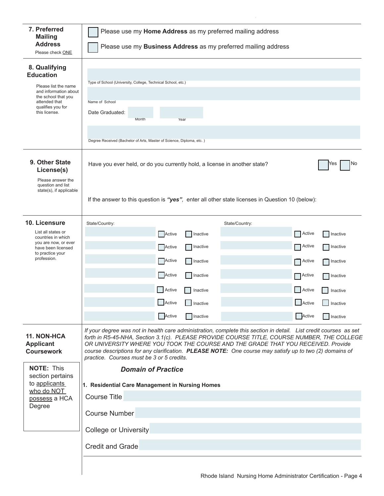| 7. Preferred<br><b>Mailing</b><br><b>Address</b><br>Please check ONE                                                                                             | Please use my Home Address as my preferred mailing address<br>Please use my <b>Business Address</b> as my preferred mailing address                                                                                                                                                                                                                                                                                                                          |                                                                   |  |  |  |  |  |
|------------------------------------------------------------------------------------------------------------------------------------------------------------------|--------------------------------------------------------------------------------------------------------------------------------------------------------------------------------------------------------------------------------------------------------------------------------------------------------------------------------------------------------------------------------------------------------------------------------------------------------------|-------------------------------------------------------------------|--|--|--|--|--|
| 8. Qualifying<br><b>Education</b><br>Please list the name<br>and information about<br>the school that you<br>attended that<br>qualifies you for<br>this license. | Type of School (University, College, Technical School, etc.)<br>Name of School<br>Date Graduated:<br>Month<br>Year<br>Degree Received (Bachelor of Arts, Master of Science, Diploma, etc.)                                                                                                                                                                                                                                                                   |                                                                   |  |  |  |  |  |
| 9. Other State<br>License(s)                                                                                                                                     | Have you ever held, or do you currently hold, a license in another state?<br>No<br>Yes                                                                                                                                                                                                                                                                                                                                                                       |                                                                   |  |  |  |  |  |
| Please answer the<br>question and list<br>state(s), if applicable                                                                                                | If the answer to this question is "yes", enter all other state licenses in Question 10 (below):                                                                                                                                                                                                                                                                                                                                                              |                                                                   |  |  |  |  |  |
| 10. Licensure                                                                                                                                                    | State/Country:<br>State/Country:                                                                                                                                                                                                                                                                                                                                                                                                                             |                                                                   |  |  |  |  |  |
| List all states or<br>countries in which<br>you are now, or ever<br>have been licensed<br>to practice your<br>profession.                                        | Active<br>Active<br>Inactive<br>Active<br>Active<br>Inactive<br>Active<br>Inactive<br>Active<br>Active<br><b>Inactive</b><br>Active<br>Active<br>Active<br>Inactive                                                                                                                                                                                                                                                                                          | Inactive<br>Inactive<br><b>O</b> lnactive<br>Inactive<br>Inactive |  |  |  |  |  |
|                                                                                                                                                                  | Active<br>Active<br>$\Box$ Inactive                                                                                                                                                                                                                                                                                                                                                                                                                          | $\Box$ Inactive                                                   |  |  |  |  |  |
|                                                                                                                                                                  | Active<br>Active<br><b>Inactive</b>                                                                                                                                                                                                                                                                                                                                                                                                                          | Inactive                                                          |  |  |  |  |  |
| 11. NON-HCA<br><b>Applicant</b><br><b>Coursework</b>                                                                                                             | If your degree was not in health care administration, complete this section in detail. List credit courses as set<br>forth in R5-45-NHA, Section 3.1(c). PLEASE PROVIDE COURSE TITLE, COURSE NUMBER, THE COLLEGE<br>OR UNIVERSITY WHERE YOU TOOK THE COURSE AND THE GRADE THAT YOU RECEIVED. Provide<br>course descriptions for any clarification. PLEASE NOTE: One course may satisfy up to two (2) domains of<br>practice. Courses must be 3 or 5 credits. |                                                                   |  |  |  |  |  |
| <b>NOTE: This</b>                                                                                                                                                | <b>Domain of Practice</b>                                                                                                                                                                                                                                                                                                                                                                                                                                    |                                                                   |  |  |  |  |  |
| section pertains<br>to applicants                                                                                                                                | 1. Residential Care Management in Nursing Homes                                                                                                                                                                                                                                                                                                                                                                                                              |                                                                   |  |  |  |  |  |
| who do NOT<br>possess a HCA                                                                                                                                      | <b>Course Title</b>                                                                                                                                                                                                                                                                                                                                                                                                                                          |                                                                   |  |  |  |  |  |
| Degree                                                                                                                                                           | <b>Course Number</b>                                                                                                                                                                                                                                                                                                                                                                                                                                         |                                                                   |  |  |  |  |  |
|                                                                                                                                                                  |                                                                                                                                                                                                                                                                                                                                                                                                                                                              |                                                                   |  |  |  |  |  |
|                                                                                                                                                                  | <b>College or University</b>                                                                                                                                                                                                                                                                                                                                                                                                                                 |                                                                   |  |  |  |  |  |
|                                                                                                                                                                  | <b>Credit and Grade</b>                                                                                                                                                                                                                                                                                                                                                                                                                                      |                                                                   |  |  |  |  |  |
|                                                                                                                                                                  |                                                                                                                                                                                                                                                                                                                                                                                                                                                              |                                                                   |  |  |  |  |  |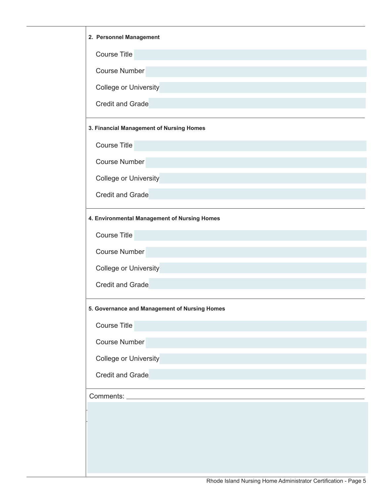| 2. Personnel Management                       |
|-----------------------------------------------|
| <b>Course Title</b>                           |
| <b>Course Number</b>                          |
| <b>College or University</b>                  |
| <b>Credit and Grade</b>                       |
| 3. Financial Management of Nursing Homes      |
| <b>Course Title</b>                           |
| <b>Course Number</b>                          |
| <b>College or University</b>                  |
| <b>Credit and Grade</b>                       |
| 4. Environmental Management of Nursing Homes  |
| <b>Course Title</b>                           |
| <b>Course Number</b>                          |
| <b>College or University</b>                  |
| <b>Credit and Grade</b>                       |
| 5. Governance and Management of Nursing Homes |
| Course Title                                  |
| <b>Course Number</b>                          |
| College or University                         |
| Credit and Grade                              |
| Comments: _________                           |
|                                               |
|                                               |
|                                               |
|                                               |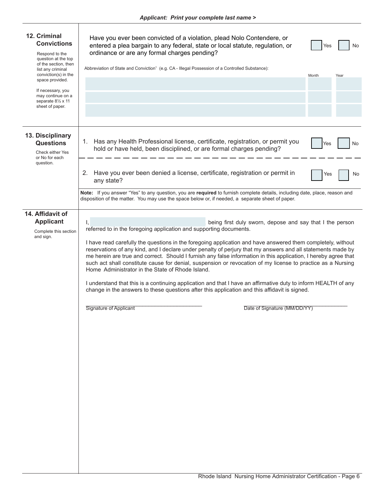Τ

| 12. Criminal<br><b>Convictions</b><br>Respond to the<br>question at the top<br>of the section, then<br>list any criminal<br>conviction(s) in the<br>space provided.<br>If necessary, you<br>may continue on a<br>separate 81/2 x 11<br>sheet of paper. | Have you ever been convicted of a violation, plead Nolo Contendere, or<br>entered a plea bargain to any federal, state or local statute, regulation, or<br>No<br>Yes<br>ordinance or are any formal charges pending?<br>Abbreviation of State and Conviction <sup>1</sup> (e.g. CA - Illegal Possession of a Controlled Substance):<br>Month<br>Year                                                                                                                                                                                                                                                                                                                                                                                                                                                                                                                        |  |  |  |  |  |
|--------------------------------------------------------------------------------------------------------------------------------------------------------------------------------------------------------------------------------------------------------|-----------------------------------------------------------------------------------------------------------------------------------------------------------------------------------------------------------------------------------------------------------------------------------------------------------------------------------------------------------------------------------------------------------------------------------------------------------------------------------------------------------------------------------------------------------------------------------------------------------------------------------------------------------------------------------------------------------------------------------------------------------------------------------------------------------------------------------------------------------------------------|--|--|--|--|--|
| 13. Disciplinary<br><b>Questions</b><br>Check either Yes<br>or No for each<br>question.                                                                                                                                                                | Has any Health Professional license, certificate, registration, or permit you<br>1.<br>No<br>Yes<br>hold or have held, been disciplined, or are formal charges pending?<br>Have you ever been denied a license, certificate, registration or permit in<br>2.<br>Yes<br>No<br>any state?<br>Note: If you answer "Yes" to any question, you are required to furnish complete details, including date, place, reason and                                                                                                                                                                                                                                                                                                                                                                                                                                                       |  |  |  |  |  |
|                                                                                                                                                                                                                                                        | disposition of the matter. You may use the space below or, if needed, a separate sheet of paper.                                                                                                                                                                                                                                                                                                                                                                                                                                                                                                                                                                                                                                                                                                                                                                            |  |  |  |  |  |
| 14. Affidavit of<br><b>Applicant</b><br>Complete this section<br>and sign.                                                                                                                                                                             | being first duly sworn, depose and say that I the person<br>Ι,<br>referred to in the foregoing application and supporting documents.<br>I have read carefully the questions in the foregoing application and have answered them completely, without<br>reservations of any kind, and I declare under penalty of perjury that my answers and all statements made by<br>me herein are true and correct. Should I furnish any false information in this application, I hereby agree that<br>such act shall constitute cause for denial, suspension or revocation of my license to practice as a Nursing<br>Home Administrator in the State of Rhode Island.<br>I understand that this is a continuing application and that I have an affirmative duty to inform HEALTH of any<br>change in the answers to these questions after this application and this affidavit is signed. |  |  |  |  |  |
|                                                                                                                                                                                                                                                        | <b>Signature of Applicant</b><br>Date of Signature (MM/DD/YY)                                                                                                                                                                                                                                                                                                                                                                                                                                                                                                                                                                                                                                                                                                                                                                                                               |  |  |  |  |  |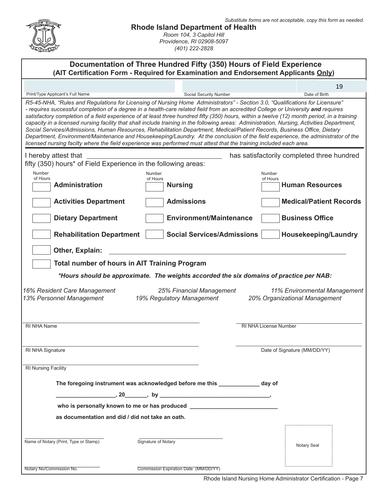|                                                                                                                                                                                                                                                                                                                                                                                                                                                                                                                                                                                                                                                                                                                                                                                                                          | <b>Rhode Island Department of Health</b><br>Room 104, 3 Capitol Hill<br>Providence, RI 02908-5097<br>(401) 222-2828 |                              | Substitute forms are not acceptable, copy this form as needed. |  |  |  |
|--------------------------------------------------------------------------------------------------------------------------------------------------------------------------------------------------------------------------------------------------------------------------------------------------------------------------------------------------------------------------------------------------------------------------------------------------------------------------------------------------------------------------------------------------------------------------------------------------------------------------------------------------------------------------------------------------------------------------------------------------------------------------------------------------------------------------|---------------------------------------------------------------------------------------------------------------------|------------------------------|----------------------------------------------------------------|--|--|--|
| Documentation of Three Hundred Fifty (350) Hours of Field Experience<br>(AIT Certification Form - Required for Examination and Endorsement Applicants Only)                                                                                                                                                                                                                                                                                                                                                                                                                                                                                                                                                                                                                                                              |                                                                                                                     |                              |                                                                |  |  |  |
|                                                                                                                                                                                                                                                                                                                                                                                                                                                                                                                                                                                                                                                                                                                                                                                                                          |                                                                                                                     |                              | 19                                                             |  |  |  |
| Print/Type Applicant's Full Name<br>R5-45-NHA, "Rules and Regulations for Licensing of Nursing Home Administrators" - Section 3.0, "Qualifications for Licensure"                                                                                                                                                                                                                                                                                                                                                                                                                                                                                                                                                                                                                                                        | Social Security Number                                                                                              |                              | Date of Birth                                                  |  |  |  |
| - requires successful completion of a degree in a health-care related field from an accredited College or University and requires<br>satisfactory completion of a field experience of at least three hundred fifty (350) hours, within a twelve (12) month period, in a training<br>capacity in a licensed nursing facility that shall include training in the following areas: Administration, Nursing, Activities Department,<br>Social Services/Admissions, Human Resources, Rehabilitation Department, Medical/Patient Records, Business Office, Dietary<br>Department, Environment/Maintenance and Housekeeping/Laundry. At the conclusion of the field experience, the administrator of the<br>licensed nursing facilty where the field experience was performed must attest that the training included each area. |                                                                                                                     |                              |                                                                |  |  |  |
| I hereby attest that                                                                                                                                                                                                                                                                                                                                                                                                                                                                                                                                                                                                                                                                                                                                                                                                     |                                                                                                                     |                              | has satisfactorily completed three hundred                     |  |  |  |
| fifty (350) hours* of Field Experience in the following areas:<br>Number                                                                                                                                                                                                                                                                                                                                                                                                                                                                                                                                                                                                                                                                                                                                                 | Number                                                                                                              | Number                       |                                                                |  |  |  |
| of Hours<br><b>Administration</b>                                                                                                                                                                                                                                                                                                                                                                                                                                                                                                                                                                                                                                                                                                                                                                                        | of Hours<br><b>Nursing</b>                                                                                          | of Hours                     | <b>Human Resources</b>                                         |  |  |  |
|                                                                                                                                                                                                                                                                                                                                                                                                                                                                                                                                                                                                                                                                                                                                                                                                                          |                                                                                                                     |                              |                                                                |  |  |  |
| <b>Activities Department</b>                                                                                                                                                                                                                                                                                                                                                                                                                                                                                                                                                                                                                                                                                                                                                                                             | <b>Admissions</b>                                                                                                   |                              | <b>Medical/Patient Records</b>                                 |  |  |  |
| <b>Dietary Department</b>                                                                                                                                                                                                                                                                                                                                                                                                                                                                                                                                                                                                                                                                                                                                                                                                | <b>Environment/Maintenance</b>                                                                                      |                              | <b>Business Office</b>                                         |  |  |  |
| <b>Rehabilitation Department</b>                                                                                                                                                                                                                                                                                                                                                                                                                                                                                                                                                                                                                                                                                                                                                                                         | <b>Social Services/Admissions</b>                                                                                   |                              | <b>Housekeeping/Laundry</b>                                    |  |  |  |
| Other, Explain:                                                                                                                                                                                                                                                                                                                                                                                                                                                                                                                                                                                                                                                                                                                                                                                                          |                                                                                                                     |                              |                                                                |  |  |  |
| <b>Total number of hours in AIT Training Program</b>                                                                                                                                                                                                                                                                                                                                                                                                                                                                                                                                                                                                                                                                                                                                                                     |                                                                                                                     |                              |                                                                |  |  |  |
|                                                                                                                                                                                                                                                                                                                                                                                                                                                                                                                                                                                                                                                                                                                                                                                                                          | *Hours should be approximate. The weights accorded the six domains of practice per NAB:                             |                              |                                                                |  |  |  |
| 16% Resident Care Management<br>13% Personnel Management                                                                                                                                                                                                                                                                                                                                                                                                                                                                                                                                                                                                                                                                                                                                                                 | 25% Financial Management<br>19% Regulatory Management                                                               |                              | 11% Environmental Management<br>20% Organizational Management  |  |  |  |
| RI NHA Name                                                                                                                                                                                                                                                                                                                                                                                                                                                                                                                                                                                                                                                                                                                                                                                                              |                                                                                                                     | <b>RI NHA License Number</b> |                                                                |  |  |  |
|                                                                                                                                                                                                                                                                                                                                                                                                                                                                                                                                                                                                                                                                                                                                                                                                                          |                                                                                                                     |                              |                                                                |  |  |  |
| RI NHA Signature                                                                                                                                                                                                                                                                                                                                                                                                                                                                                                                                                                                                                                                                                                                                                                                                         |                                                                                                                     | Date of Signature (MM/DD/YY) |                                                                |  |  |  |
| <b>RI Nursing Facility</b>                                                                                                                                                                                                                                                                                                                                                                                                                                                                                                                                                                                                                                                                                                                                                                                               |                                                                                                                     |                              |                                                                |  |  |  |
|                                                                                                                                                                                                                                                                                                                                                                                                                                                                                                                                                                                                                                                                                                                                                                                                                          | The foregoing instrument was acknowledged before me this _____________ day of                                       |                              |                                                                |  |  |  |
|                                                                                                                                                                                                                                                                                                                                                                                                                                                                                                                                                                                                                                                                                                                                                                                                                          | $\sim$ , 20 $\sim$ , by $\sim$ . The contract of $\sim$ , $\sim$                                                    |                              |                                                                |  |  |  |
|                                                                                                                                                                                                                                                                                                                                                                                                                                                                                                                                                                                                                                                                                                                                                                                                                          | who is personally known to me or has produced __________________________________                                    |                              |                                                                |  |  |  |
| as documentation and did / did not take an oath.                                                                                                                                                                                                                                                                                                                                                                                                                                                                                                                                                                                                                                                                                                                                                                         |                                                                                                                     |                              |                                                                |  |  |  |
|                                                                                                                                                                                                                                                                                                                                                                                                                                                                                                                                                                                                                                                                                                                                                                                                                          |                                                                                                                     |                              |                                                                |  |  |  |
| Name of Notary (Print, Type or Stamp)                                                                                                                                                                                                                                                                                                                                                                                                                                                                                                                                                                                                                                                                                                                                                                                    | Signature of Notary                                                                                                 |                              | Notary Seal                                                    |  |  |  |
| Notary No/Commission No.                                                                                                                                                                                                                                                                                                                                                                                                                                                                                                                                                                                                                                                                                                                                                                                                 | Commission Expiration Date (MM/DD/YY)                                                                               |                              |                                                                |  |  |  |

Rhode Island Nursing Home Administrator Certification - Page 7